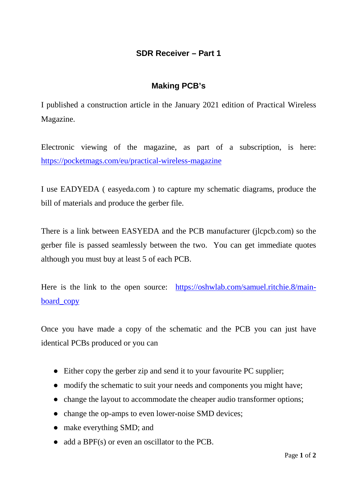## **SDR Receiver – Part 1**

## **Making PCB's**

I published a construction article in the January 2021 edition of Practical Wireless Magazine.

Electronic viewing of the magazine, as part of a subscription, is here: <https://pocketmags.com/eu/practical-wireless-magazine>

I use EADYEDA ( easyeda.com ) to capture my schematic diagrams, produce the bill of materials and produce the gerber file.

There is a link between EASYEDA and the PCB manufacturer (jlcpcb.com) so the gerber file is passed seamlessly between the two. You can get immediate quotes although you must buy at least 5 of each PCB.

Here is the link to the open source: [https://oshwlab.com/samuel.ritchie.8/main](https://oshwlab.com/samuel.ritchie.8/main-board_copy)[board\\_copy](https://oshwlab.com/samuel.ritchie.8/main-board_copy)

Once you have made a copy of the schematic and the PCB you can just have identical PCBs produced or you can

- Either copy the gerber zip and send it to your favourite PC supplier;
- modify the schematic to suit your needs and components you might have;
- change the layout to accommodate the cheaper audio transformer options;
- change the op-amps to even lower-noise SMD devices;
- make everything SMD; and
- add a BPF(s) or even an oscillator to the PCB.